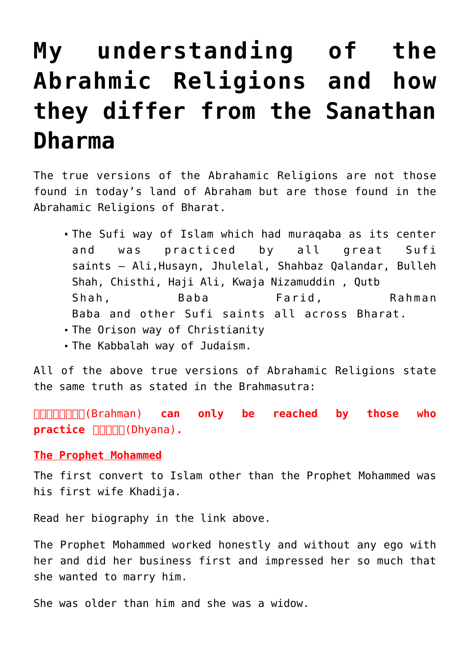# **[My understanding of the](https://aryadharma.world/vedasandupanishads/my-understanding-of-the-abrahmic-religions-and-how-they-differ-from-the-sanathan-dharma/) [Abrahmic Religions and how](https://aryadharma.world/vedasandupanishads/my-understanding-of-the-abrahmic-religions-and-how-they-differ-from-the-sanathan-dharma/) [they differ from the Sanathan](https://aryadharma.world/vedasandupanishads/my-understanding-of-the-abrahmic-religions-and-how-they-differ-from-the-sanathan-dharma/) [Dharma](https://aryadharma.world/vedasandupanishads/my-understanding-of-the-abrahmic-religions-and-how-they-differ-from-the-sanathan-dharma/)**

The true versions of the [Abrahamic Religions](http://en.wikipedia.org/wiki/Abrahamic_religions) are not those found in today's land of [Abraham](http://en.wikipedia.org/wiki/Abraham) but are those found in the [Abrahamic Religions](http://en.wikipedia.org/wiki/Abrahamic_religions) of [Bharat](https://aryadharma.world/bharat/).

- The [Sufi](http://en.wikipedia.org/wiki/Sufism_in_India) way of [Islam](http://en.wikipedia.org/wiki/Islam) which had [muraqaba](http://en.wikipedia.org/wiki/Muraqaba) as its center and was practiced by all great [Sufi](http://en.wikipedia.org/wiki/List_of_Sufi_saints) [saints](http://en.wikipedia.org/wiki/List_of_Sufi_saints) – [Ali,](http://en.wikipedia.org/wiki/Ali)[Husayn,](http://en.wikipedia.org/wiki/Ali_Akbar_ibn_Husayn) [Jhulelal,](http://en.wikipedia.org/wiki/Jhulelal) [Shahbaz Qalandar,](http://en.wikipedia.org/wiki/Lal_Shahbaz_Qalandar) [Bulleh](http://en.wikipedia.org/wiki/Bulleh_Shah) [Shah,](http://en.wikipedia.org/wiki/Bulleh_Shah) [Chisthi,](http://en.wikipedia.org/wiki/Chisti) [Haji Ali](http://en.wikipedia.org/wiki/Haji_Ali_Dargah), [Kwaja Nizamuddin](http://en.wikipedia.org/wiki/Nizamuddin_Auliya) , [Qutb](http://en.wikipedia.org/wiki/Qutb_Shah) [Shah,](http://en.wikipedia.org/wiki/Qutb_Shah) [Baba Farid](http://en.wikipedia.org/wiki/Fariduddin_Ganjshakar), [Rahman](http://en.wikipedia.org/wiki/Rahman_Baba) [Baba](http://en.wikipedia.org/wiki/Rahman_Baba) and other [Sufi saints](http://en.wikipedia.org/wiki/Sufism_in_India) all across [B](https://aryadharma.world/__wp__/Bharat.html)[harat.](https://aryadharma.world/bharat/)
- The Orison way of [Christianity](http://en.wikipedia.org/wiki/Christianity)
- The [Kabbalah](http://en.wikipedia.org/wiki/Kabbalah) way of [Judaism.](http://en.wikipedia.org/wiki/Judaism)

All of the above true versions of [Abrahamic Religions](http://en.wikipedia.org/wiki/Abrahamic_religions) state the same truth as stated in the [Brahmasutra:](http://en.wikipedia.org/wiki/Brahma_Sutras)

[ब्रह्मन्\(Brahman\)](https://aryadharma.world/vedasandupanishads/brahman/) **can only be reached by those who practice** [ध्यान\(Dhyana\)](https://aryadharma.world/vedasandupanishads/dhyan/)**.**

## **The [Prophet Mohammed](http://en.wikipedia.org/wiki/Muhammad)**

The first convert to Islam other than the [Prophet Mohammed](http://en.wikipedia.org/wiki/Muhammad) was his first wife [Khadija.](http://en.wikipedia.org/wiki/Khadijah_bint_Khuwaylid)

Read her biography in the link above.

The [Prophet Mohammed](http://en.wikipedia.org/wiki/Muhammad) worked honestly and without any ego with her and did her business first and impressed her so much that she wanted to marry him.

She was older than him and she was a widow.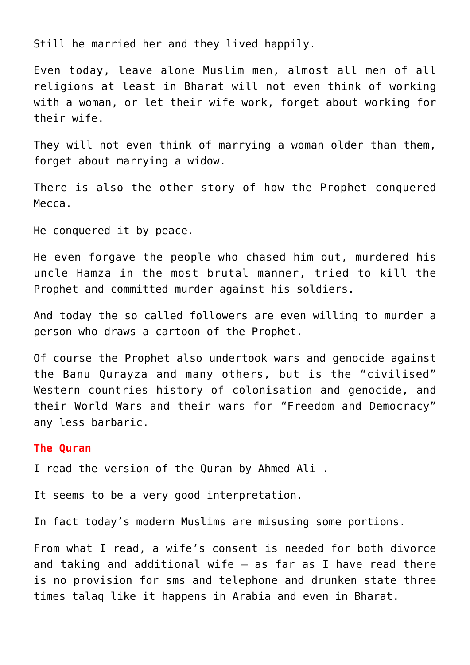Still he married her and they lived happily.

Even today, leave alone Muslim men, almost all men of all religions at least in [Bharat](https://aryadharma.world/bharat/) will not even think of working with a woman, or let their wife work, forget about working for their wife.

They will not even think of marrying a woman older than them, forget about marrying a widow.

There is also the other story of how the Prophet [conquered](http://en.wikipedia.org/wiki/Conquest_of_Mecca) [Mecca.](http://en.wikipedia.org/wiki/Conquest_of_Mecca)

He conquered it by peace.

He even forgave the people who chased him out, murdered his uncle [Hamza](http://en.wikipedia.org/wiki/Hamza_ibn_Abdul-Muttalib) in the most brutal manner, tried to kill the Prophet and committed murder against his soldiers.

And today the so called followers are even willing to murder a person who draws a cartoon of the Prophet.

Of course the Prophet also [undertook wars](http://en.wikipedia.org/wiki/Invasion_of_Banu_Qurayza) and genocide against the [Banu Qurayza](http://en.wikipedia.org/wiki/Banu_Qurayza) and [many others](http://en.wikipedia.org/wiki/List_of_expeditions_of_Muhammad), but is the "civilised" Western countries history of [colonisation](http://en.wikipedia.org/wiki/Imperialism) and [genocide](http://en.wikipedia.org/wiki/Native_Americans_in_the_United_States), and their World Wars and their wars for "Freedom and Democracy" any less barbaric.

#### **The [Quran](http://en.wikipedia.org/wiki/Quran)**

I read the [version of the Quran by Ahmed Ali](http://www.flipkart.com/al-qur-an-english/p/itmeyhrbnsvqpwwk?pid=9780691074993) .

It seems to be a very good interpretation.

In fact today's modern Muslims are misusing some portions.

From what I read, a wife's consent is needed for both divorce and taking and additional wife – as far as I have read there is no provision for sms and telephone and drunken state three times talaq like it happens in Arabia and even in [Bharat.](https://aryadharma.world/bharat/)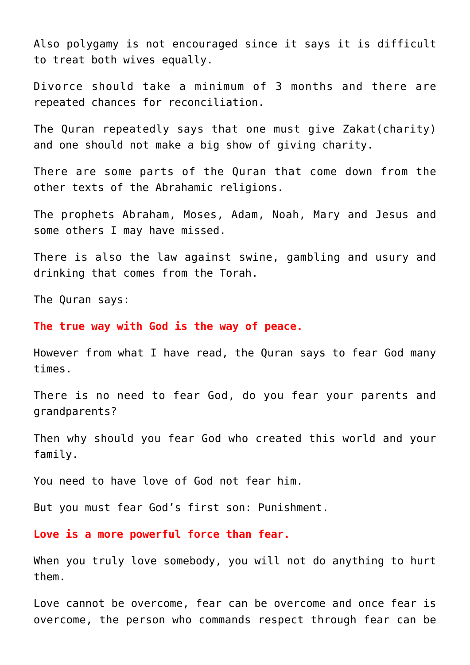Also polygamy is not encouraged since it says it is difficult to treat both wives equally.

Divorce should take a minimum of 3 months and there are repeated chances for reconciliation.

The [Quran](http://en.wikipedia.org/wiki/Quran) repeatedly says that one must give [Zakat\(charity\)](http://en.wikipedia.org/wiki/Zakat) and one should not make a big show of giving charity.

There are some parts of the [Quran](http://en.wikipedia.org/wiki/Quran) that come down from the other texts of the Abrahamic religions.

The prophets Abraham, Moses, Adam, Noah, Mary and Jesus [and](http://en.wikipedia.org/wiki/Prophets_and_messengers_in_Islam) [some others I may have missed](http://en.wikipedia.org/wiki/Prophets_and_messengers_in_Islam).

There is also the law against swine, gambling and usury and drinking that comes from the Torah.

The Quran says:

**The true way with [God](https://aryadharma.world/vedasandupanishads/brahman/) is the way of peace.**

However from what I have read, the Quran says to fear God many times.

There is no need to fear God, do you fear your parents and grandparents?

Then why should you fear God who created this world and your family.

You need to have love of [God](https://aryadharma.world/vedasandupanishads/brahman/) not fear him.

But you must fear [God's](https://aryadharma.world/vedasandupanishads/brahman/) first son: [Punishment](https://aryadharma.world/laws/punishment/).

**Love is a more powerful force than fear.**

When you truly love somebody, you will not do anything to hurt them.

Love cannot be overcome, fear can be overcome and once fear is overcome, the person who commands respect through fear can be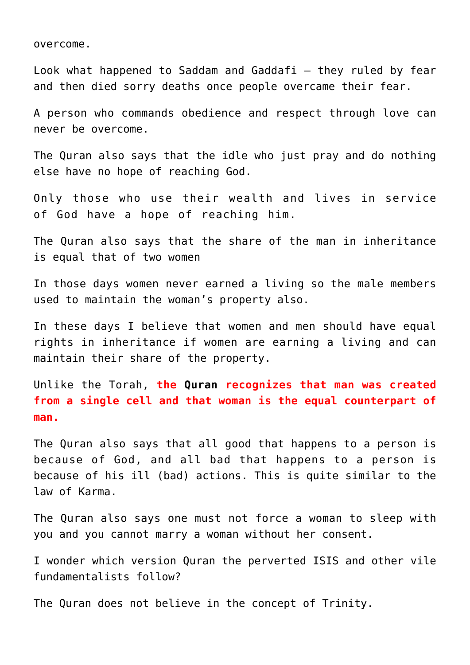overcome.

Look what happened to Saddam and Gaddafi – they ruled by fear and then died sorry deaths once people overcame their fear.

A person who commands obedience and respect through love can never be overcome.

The [Quran](http://en.wikipedia.org/wiki/Quran) also says that the idle who just pray and do nothing else have no hope of reaching God.

Only those who use their wealth and lives in service of [God](https://aryadharma.world/vedasandupanishads/brahman/) have a hope of reaching him.

The [Quran](http://en.wikipedia.org/wiki/Quran) also says that the share of the man in inheritance is equal that of two women

In those days women never earned a living so the male members used to maintain the woman's property also.

In these days I believe that women and men should have equal rights in inheritance if women are earning a living and can maintain their share of the property.

Unlike the [Torah,](http://en.wikipedia.org/wiki/Torah) **the [Quran](http://en.wikipedia.org/wiki/Quran) recognizes that man was created from a single cell and that woman is the equal counterpart of man.**

The Quran also says that all good that happens to a person is because of God, and all bad that happens to a person is because of his ill (bad) actions. This is quite similar to the law of Karma.

The Quran also says one must not force a woman to sleep with you and you cannot marry a woman without her consent.

I wonder which version Quran the perverted [ISIS](http://en.wikipedia.org/wiki/Islamic_State_of_Iraq_and_the_Levant) and other vile fundamentalists follow?

The Quran does not believe in the concept of [Trinity](http://en.wikipedia.org/wiki/Trinity#Islam).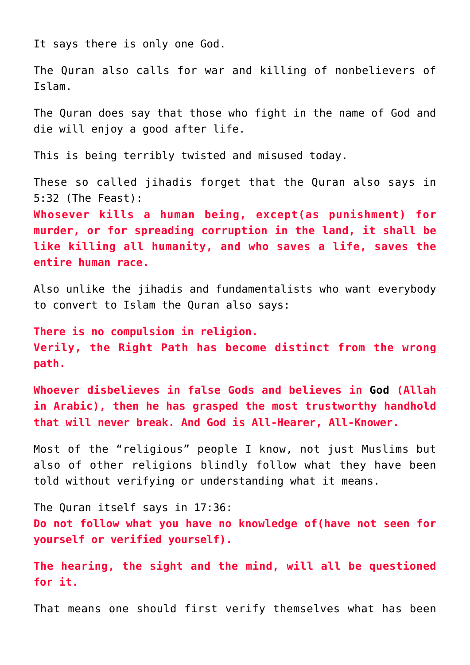It says there is only one [God](https://aryadharma.world/vedasandupanishads/brahman/).

The Quran also calls for war and killing of nonbelievers of Islam.

The Quran does say that those who fight in the name of God and die will enjoy a good after life.

This is being terribly twisted and misused today.

These so called jihadis forget that the Quran also says in 5:32 (The Feast):

**Whosever kills a human being, except(as punishment) for murder, or for spreading corruption in the land, it shall be like killing all humanity, and who saves a life, saves the entire human race.**

Also unlike the jihadis and fundamentalists who want everybody to convert to Islam the Quran also says:

**There is no compulsion in religion. Verily, the Right Path has become distinct from the wrong path.**

**Whoever disbelieves in false Gods and believes in [God](https://aryadharma.world/vedasandupanishads/brahman/) (Allah in Arabic), then he has grasped the most trustworthy handhold that will never break. And God is All-Hearer, All-Knower.**

Most of the "religious" people I know, not just Muslims but also of other religions blindly follow what they have been told without verifying or understanding what it means.

The Quran itself says in 17:36: **Do not follow what you have no knowledge of(have not seen for yourself or verified yourself).**

**The hearing, the sight and the mind, will all be questioned for it.**

That means one should first verify themselves what has been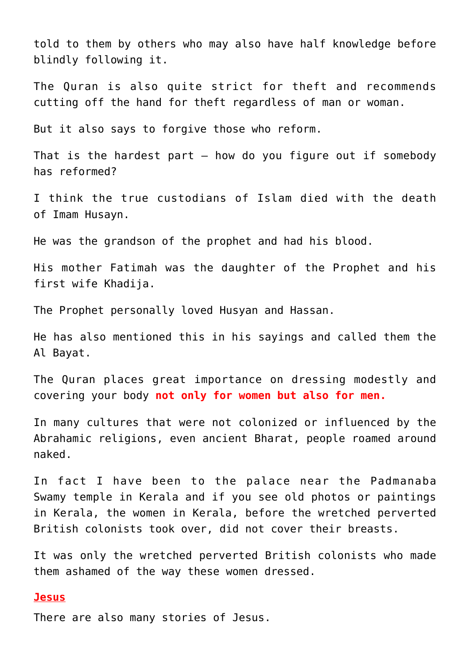told to them by others who may also have half knowledge before blindly following it.

The Quran is also quite strict for theft and recommends cutting off the hand for theft regardless of man or woman.

But it also says to forgive those who reform.

That is the hardest part  $-$  how do you figure out if somebody has reformed?

I think the true custodians of Islam died with the death of [Imam Husayn.](http://en.wikipedia.org/wiki/Hussein_ibn_Ali)

He was the grandson of the prophet and had his blood.

His mother Fatimah was the daughter of the Prophet and his first wife Khadija.

The Prophet personally loved Husyan and Hassan.

He has also mentioned this in his sayings and called them the [Al Bayat.](http://en.wikipedia.org/wiki/Ahl_al-Bayt)

The Quran places great importance on dressing modestly and covering your body **not only for women but also for men.**

In many cultures that were not colonized or influenced by the Abrahamic religions, even ancient [Bharat,](https://aryadharma.world/bharat/) people roamed around naked.

In fact I have been to the palace near the [Padmanaba](http://en.wikipedia.org/wiki/Padmanabhaswamy_Temple) [Swamy temple](http://en.wikipedia.org/wiki/Padmanabhaswamy_Temple) in Kerala and if you see old photos or paintings in Kerala, the women in Kerala, before the wretched perverted British colonists took over, did not cover their breasts.

It was only the wretched perverted British colonists who made them ashamed of the way these women dressed.

## **Jesus**

There are also many stories of Jesus.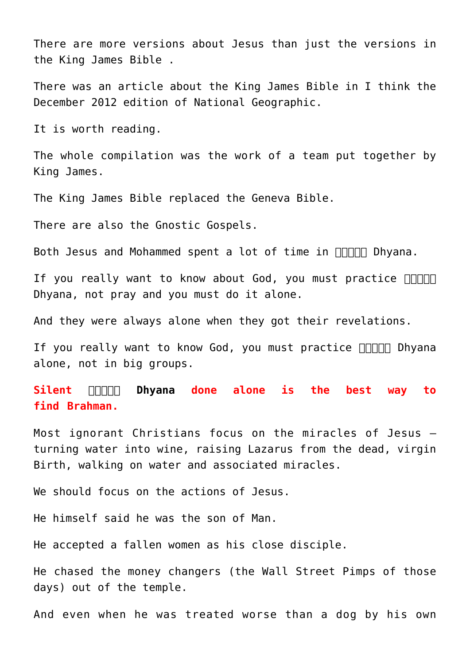There are more versions about Jesus than just the versions in the [King James Bible](http://en.wikipedia.org/wiki/King_james_bible) .

There was an article about the King James Bible in I think the December 2012 edition of National Geographic.

It is worth reading.

The whole compilation was the work of a team put together by King James.

The King James Bible replaced the [Geneva Bible.](http://en.wikipedia.org/wiki/Geneva_Bible)

There are also the [Gnostic Gospels.](http://en.wikipedia.org/wiki/Gnostic_Gospels)

Both Jesus and Mohammed spent a lot of time in  $\Pi\Pi\Pi\Pi$  Dhyana.

If you really want to know about God, you must practice  $\square \square \square \square$ [Dhyana](https://aryadharma.world/vedasandupanishads/dhyan/), not pray and you must do it alone.

And they were always alone when they got their revelations.

If you really want to know God, you must practice **HANNI** Dhyana alone, not in big groups.

**Silent <b>unna** Dhyana done alone is the best way to **find [Brahman](https://aryadharma.world/vedasandupanishads/brahman/).**

Most ignorant Christians focus on the [miracles of Jesus](http://en.wikipedia.org/wiki/Miracles_of_Jesus) – turning water into wine, raising Lazarus from the dead, virgin Birth, walking on water and associated miracles.

We should focus on the actions of Jesus.

He himself said he was the [son of Man](http://en.wikipedia.org/wiki/Son_of_man_(Christianity)).

He accepted a fallen women as his close disciple.

He chased the money changers (the [Wall Street Pimps](https://aryadharma.world/fukus/wallstreetpimps/) of those days) out of the temple.

And even when he was treated worse than a dog by his own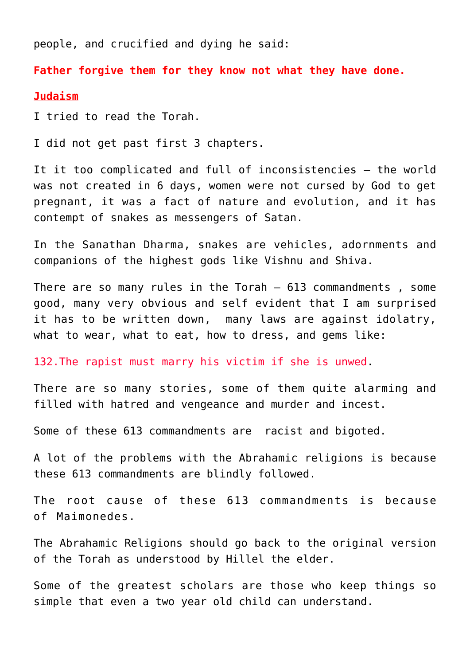people, and crucified and dying he said:

**Father forgive them for they know not what they have done.**

#### **Judaism**

I tried to read the [Torah.](http://en.wikipedia.org/wiki/Torah)

I did not get past first 3 chapters.

It it too complicated and full of inconsistencies – the world was not created in 6 days, women were not cursed by God to get pregnant, it was a fact of nature and evolution, and it has contempt of snakes as messengers of Satan.

In the [Sanathan Dharma,](https://aryadharma.world/vedasandupanishads/) snakes are vehicles, adornments and companions of the highest gods like [Vishnu](http://en.wikipedia.org/wiki/Vishnu) and [Shiva](http://en.wikipedia.org/wiki/Shiva).

There are so many rules in the Torah [– 613 commandments](http://en.wikipedia.org/wiki/613_commandments) , some good, many very obvious and self evident that I am surprised it has to be written down, many laws are against idolatry, what to wear, what to eat, how to dress, and gems like:

132.The rapist must marry his victim if she is unwed.

There are so many stories, some of them quite alarming and filled with hatred and vengeance and murder and incest.

Some of these 613 commandments are racist and bigoted.

A lot of the problems with the Abrahamic religions is because these 613 commandments are blindly followed.

The root cause of these 613 commandments is because of [Maimonedes](http://en.wikipedia.org/wiki/Maimonides).

The Abrahamic Religions should go back to the original version of the Torah as understood by [Hillel the elder](http://en.wikipedia.org/wiki/Hillel_the_Elder).

Some of the greatest scholars are those who keep things so simple that even a two year old child can understand.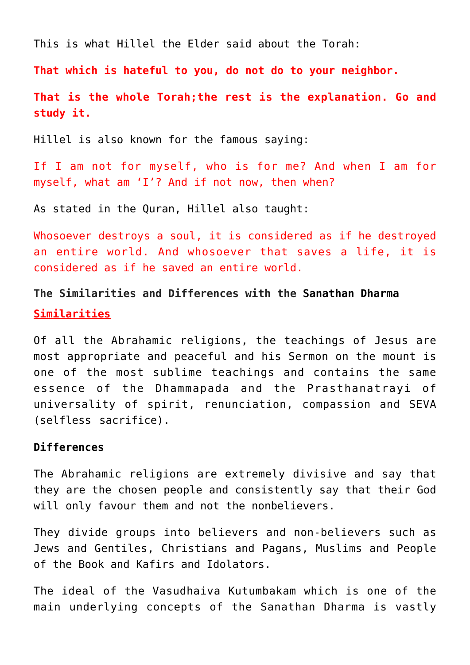This is what Hillel the Elder said about the Torah:

**That which is hateful to you, do not do to your neighbor.**

**That is the whole Torah;the rest is the explanation. Go and study it.**

Hillel is also known for the famous saying:

If I am not for myself, who is for me? And when I am for myself, what am 'I'? And if not now, then when?

As stated in the Quran, Hillel also taught:

Whosoever destroys a soul, it is considered as if he destroyed an entire world. And whosoever that saves a life, it is considered as if he saved an entire world.

**The Similarities and Differences with the [Sanathan Dharma](https://aryadharma.world/vedasandupanishads/) Similarities**

Of all the [Abrahamic religions,](http://en.wikipedia.org/wiki/Abrahamic_religions) the teachings of Jesus are most appropriate and peaceful and his [Sermon on the mount](http://en.wikipedia.org/wiki/Sermon_on_the_Mount) is one of the most sublime teachings and contains the same essence of the [Dhammapada](http://en.wikipedia.org/wiki/Dhammapada) and the [Prasthanatrayi](http://en.wikipedia.org/wiki/Prasthanatrayi) of universality of spirit, renunciation, compassion and SEVA (selfless sacrifice).

## **Differences**

The Abrahamic religions are extremely divisive and say that they are the chosen people and consistently say that their [God](https://aryadharma.world/vedasandupanishads/brahman/) will only favour them and not the nonbelievers.

They divide groups into believers and non-believers such as Jews and Gentiles, Christians and Pagans, Muslims and People of the Book and Kafirs and Idolators.

The ideal of the [Vasudhaiva Kutumbakam](https://en.wikipedia.org/wiki/Vasudhaiva_Kutumbakam) which is one of the main underlying concepts of the [Sanathan Dharma](https://aryadharma.world/vedasandupanishads/) is vastly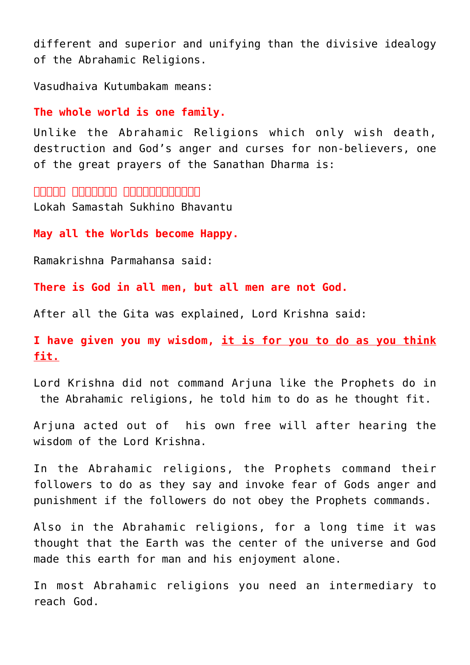different and superior and unifying than the divisive idealogy of the Abrahamic Religions.

[Vasudhaiva Kutumbakam](https://en.wikipedia.org/wiki/Vasudhaiva_Kutumbakam) means:

**The whole world is one family.**

Unlike the Abrahamic Religions which only wish death, destruction and God's anger and curses for non-believers, one of the great prayers of the [Sanathan Dharma](https://aryadharma.world/vedasandupanishads/) is:

**लोकाः समस्ताः सुिखनोभवन्तु** [Lokah Samastah Sukhino Bhavantu](https://en.wikipedia.org/wiki/Lokaksema_(Hindu_prayer))

**May all the Worlds become Happy.**

[Ramakrishna Parmahansa](http://en.wikipedia.org/wiki/Ramakrishna) said:

**There is God in all men, but all men are not God.**

After all the Gita was explained, [Lord Krishna said:](http://en.wikipedia.org/wiki/Krishna)

**I have given you my wisdom, it is for you to do as you think fit.**

Lord Krishna did not command [Arjuna](http://en.wikipedia.org/wiki/Arjuna) like the Prophets do in the Abrahamic religions, he told him to do as he thought fit.

Arjuna acted out of his own free will after hearing the wisdom of the Lord Krishna.

In the Abrahamic religions, the Prophets command their followers to do as they say and invoke fear of Gods anger and punishment if the followers do not obey the Prophets commands.

Also in the Abrahamic religions, for a long time it was thought that the Earth was the center of the universe and God made this earth for man and his enjoyment alone.

In most Abrahamic religions you need an intermediary to reach [God.](https://aryadharma.world/vedasandupanishads/brahman/)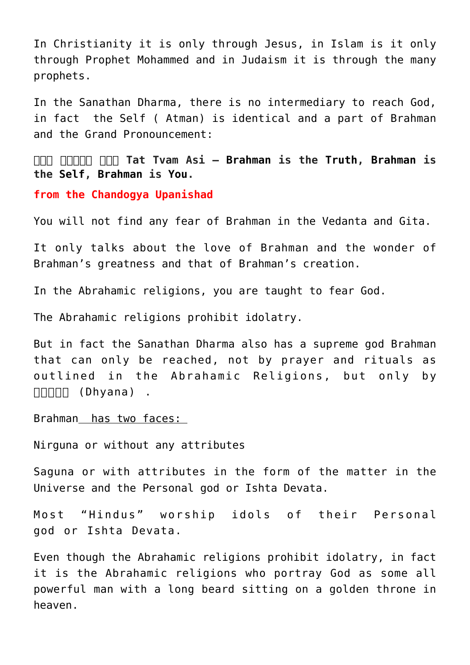In Christianity it is only through [Jesus,](http://en.wikipedia.org/wiki/Jesus) in Islam is it only through [Prophet Mohammed](http://en.wikipedia.org/wiki/Muhammad) and in Judaism it is through the many prophets.

In the [Sanathan Dharma,](https://aryadharma.world/vedasandupanishads/) there is no intermediary to reach [God,](https://aryadharma.world/vedasandupanishads/brahman/) in fact the Self ( [Atman\)](http://en.wikipedia.org/wiki/%C4%80tman_(Hinduism)) is identical and a part of [Brahman](https://aryadharma.world/vedasandupanishads/brahman/) and the Grand Pronouncement:

**[तत् त्वम् अिस](http://en.wikipedia.org/wiki/Tat_Tvam_Asi) Tat Tvam Asi – [Brahman](https://aryadharma.org/brahman/) is the [Truth,](http://en.wikipedia.org/wiki/Sat_(Sanskrit)) [Brahman](https://aryadharma.org/brahman/) is the [Self,](http://en.wikipedia.org/wiki/%C4%80tman_(Hinduism)) [Brahman](https://aryadharma.org/brahman/) is [You.](https://en.wikipedia.org/wiki/%C4%80tman_(Hinduism))**

**[from the Chandogya Upanishad](http://en.wikipedia.org/wiki/Chandogya_Upanishad)**

You will not find any fear of [Brahman](https://aryadharma.world/vedasandupanishads/brahman/) in the Vedanta and Gita.

It only talks about the love of Brahman and the wonder of Brahman's greatness and that of Brahman's creation.

In the Abrahamic religions, you are taught to fear God.

The Abrahamic religions prohibit idolatry.

But in fact the [Sanathan Dharma](https://aryadharma.world/vedasandupanishads/) also has a supreme god [Brahman](https://aryadharma.world/vedasandupanishads/brahman/) that can only be reached, not by prayer and rituals as outlined in the Abrahamic Religions, but only by  $\Box \Box \Box \Box \Box$  [\(Dhyana\)](https://aryadharma.world/vedasandupanishads/dhyan/) .

[Brahman](https://aryadharma.world/vedasandupanishads/brahman/) has two faces:

[Nirguna](http://en.wikipedia.org/wiki/Nirguna_Brahman) or without any attributes

[Saguna](http://en.wikipedia.org/wiki/Saguna_brahman) or with attributes in the form of the matter in the Universe and the [Personal god or Ishta Devata.](http://en.wikipedia.org/wiki/I%E1%B9%A3%E1%B9%ADa-devat%C4%81)

Most "Hindus" worship idols of their [Personal](http://en.wikipedia.org/wiki/I%E1%B9%A3%E1%B9%ADa-devat%C4%81) [god or Ishta Devata.](http://en.wikipedia.org/wiki/I%E1%B9%A3%E1%B9%ADa-devat%C4%81)

Even though the Abrahamic religions prohibit idolatry, in fact it is the Abrahamic religions who portray [God](https://aryadharma.world/vedasandupanishads/brahman/) as some all powerful man with a long beard sitting on a golden throne in heaven.